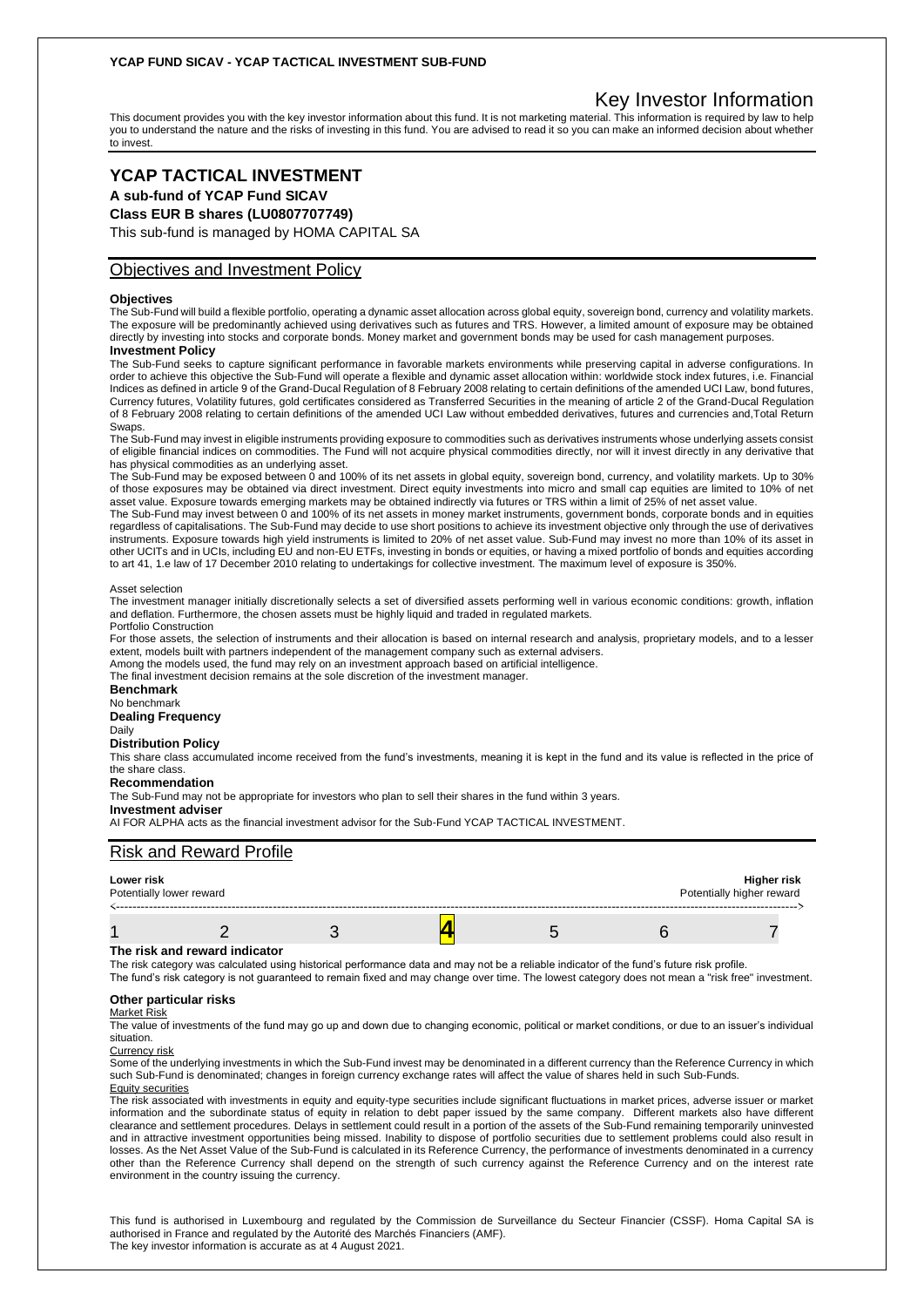## **YCAP FUND SICAV - YCAP TACTICAL INVESTMENT SUB-FUND**

# Key Investor Information

This document provides you with the key investor information about this fund. It is not marketing material. This information is required by law to help you to understand the nature and the risks of investing in this fund. You are advised to read it so you can make an informed decision about whether to invest.

# **YCAP TACTICAL INVESTMENT**

**A sub-fund of YCAP Fund SICAV**

**Class EUR B shares (LU0807707749)**

This sub-fund is managed by HOMA CAPITAL SA

## Objectives and Investment Policy

## **Objectives**

The Sub-Fund will build a flexible portfolio, operating a dynamic asset allocation across global equity, sovereign bond, currency and volatility markets. The exposure will be predominantly achieved using derivatives such as futures and TRS. However, a limited amount of exposure may be obtained directly by investing into stocks and corporate bonds. Money market and government bonds may be used for cash management purposes. **Investment Policy**

The Sub-Fund seeks to capture significant performance in favorable markets environments while preserving capital in adverse configurations. In order to achieve this objective the Sub-Fund will operate a flexible and dynamic asset allocation within: worldwide stock index futures, i.e. Financial Indices as defined in article 9 of the Grand-Ducal Regulation of 8 February 2008 relating to certain definitions of the amended UCI Law, bond futures, Currency futures, Volatility futures, gold certificates considered as Transferred Securities in the meaning of article 2 of the Grand-Ducal Regulation of 8 February 2008 relating to certain definitions of the amended UCI Law without embedded derivatives, futures and currencies and,Total Return Swaps.

The Sub-Fund may invest in eligible instruments providing exposure to commodities such as derivatives instruments whose underlying assets consist of eligible financial indices on commodities. The Fund will not acquire physical commodities directly, nor will it invest directly in any derivative that has physical commodities as an underlying asset.

The Sub-Fund may be exposed between 0 and 100% of its net assets in global equity, sovereign bond, currency, and volatility markets. Up to 30% of those exposures may be obtained via direct investment. Direct equity investments into micro and small cap equities are limited to 10% of net asset value. Exposure towards emerging markets may be obtained indirectly via futures or TRS within a limit of 25% of net asset value.

The Sub-Fund may invest between 0 and 100% of its net assets in money market instruments, government bonds, corporate bonds and in equities regardless of capitalisations. The Sub-Fund may decide to use short positions to achieve its investment objective only through the use of derivatives instruments. Exposure towards high yield instruments is limited to 20% of net asset value. Sub-Fund may invest no more than 10% of its asset in other UCITs and in UCIs, including EU and non-EU ETFs, investing in bonds or equities, or having a mixed portfolio of bonds and equities according to art 41, 1.e law of 17 December 2010 relating to undertakings for collective investment. The maximum level of exposure is 350%.

#### Asset selection

The investment manager initially discretionally selects a set of diversified assets performing well in various economic conditions: growth, inflation and deflation. Furthermore, the chosen assets must be highly liquid and traded in regulated markets.

Portfolio Construction

For those assets, the selection of instruments and their allocation is based on internal research and analysis, proprietary models, and to a lesser extent, models built with partners independent of the management company such as external advisers.

Among the models used, the fund may rely on an investment approach based on artificial intelligence.

The final investment decision remains at the sole discretion of the investment manager.

#### **Benchmark** No benchmark

**Dealing Frequency**

## Daily

### **Distribution Policy**

This share class accumulated income received from the fund's investments, meaning it is kept in the fund and its value is reflected in the price of the share class

### **Recommendation**

The Sub-Fund may not be appropriate for investors who plan to sell their shares in the fund within 3 years.

#### **Investment adviser**

AI FOR ALPHA acts as the financial investment advisor for the Sub-Fund YCAP TACTICAL INVESTMENT.

## Risk and Reward Profile

| Lower risk<br>Potentially lower reward |  | Higher risk<br>Potentially higher reward |  |  |  |
|----------------------------------------|--|------------------------------------------|--|--|--|
|                                        |  |                                          |  |  |  |

#### **The risk and reward indicator**

The risk category was calculated using historical performance data and may not be a reliable indicator of the fund's future risk profile.

The fund's risk category is not guaranteed to remain fixed and may change over time. The lowest category does not mean a "risk free" investment.

#### **Other particular risks** Market Risk

The value of investments of the fund may go up and down due to changing economic, political or market conditions, or due to an issuer's individual situation.

#### Currency risk

Some of the underlying investments in which the Sub-Fund invest may be denominated in a different currency than the Reference Currency in which such Sub-Fund is denominated; changes in foreign currency exchange rates will affect the value of shares held in such Sub-Funds. Equity securities

The risk associated with investments in equity and equity-type securities include significant fluctuations in market prices, adverse issuer or market information and the subordinate status of equity in relation to debt paper issued by the same company. Different markets also have different clearance and settlement procedures. Delays in settlement could result in a portion of the assets of the Sub-Fund remaining temporarily uninvested and in attractive investment opportunities being missed. Inability to dispose of portfolio securities due to settlement problems could also result in losses. As the Net Asset Value of the Sub-Fund is calculated in its Reference Currency, the performance of investments denominated in a currency other than the Reference Currency shall depend on the strength of such currency against the Reference Currency and on the interest rate environment in the country issuing the currency.

This fund is authorised in Luxembourg and regulated by the Commission de Surveillance du Secteur Financier (CSSF). Homa Capital SA is authorised in France and regulated by the Autorité des Marchés Financiers (AMF). The key investor information is accurate as at 4 August 2021.